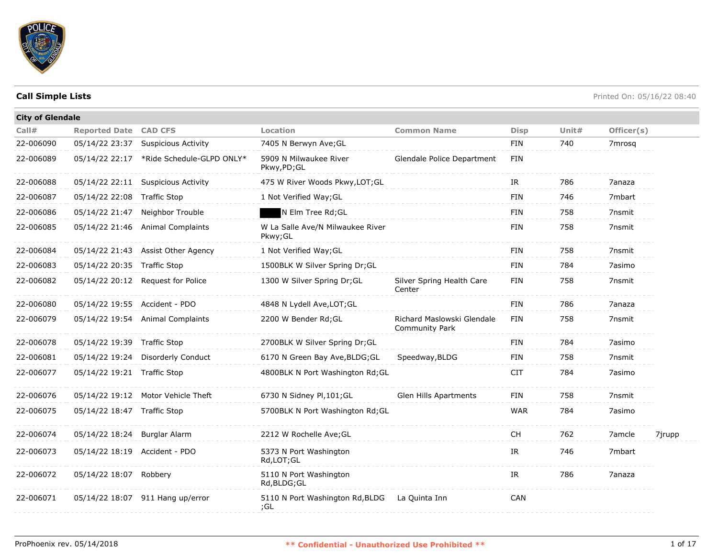

| <b>City of Glendale</b> |                               |                                    |                                              |                                                     |             |       |            |                |
|-------------------------|-------------------------------|------------------------------------|----------------------------------------------|-----------------------------------------------------|-------------|-------|------------|----------------|
| Call#                   | <b>Reported Date CAD CFS</b>  |                                    | Location                                     | <b>Common Name</b>                                  | <b>Disp</b> | Unit# | Officer(s) |                |
| 22-006090               | 05/14/22 23:37                | <b>Suspicious Activity</b>         | 7405 N Berwyn Ave; GL                        |                                                     | <b>FIN</b>  | 740   | 7mrosa     |                |
| 22-006089               | 05/14/22 22:17                | *Ride Schedule-GLPD ONLY*          | 5909 N Milwaukee River<br>Pkwy,PD;GL         | Glendale Police Department                          | <b>FIN</b>  |       |            |                |
| 22-006088               |                               | 05/14/22 22:11 Suspicious Activity | 475 W River Woods Pkwy, LOT; GL              |                                                     | IR          | 786   | 7anaza     |                |
| 22-006087               | 05/14/22 22:08 Traffic Stop   |                                    | 1 Not Verified Way; GL                       |                                                     | <b>FIN</b>  | 746   | 7mbart     |                |
| 22-006086               | 05/14/22 21:47                | Neighbor Trouble                   | N Elm Tree Rd; GL                            |                                                     | FIN         | 758   | 7nsmit     |                |
| 22-006085               |                               | 05/14/22 21:46 Animal Complaints   | W La Salle Ave/N Milwaukee River<br>Pkwy; GL |                                                     | <b>FIN</b>  | 758   | 7nsmit     |                |
| 22-006084               |                               | 05/14/22 21:43 Assist Other Agency | 1 Not Verified Way; GL                       |                                                     | <b>FIN</b>  | 758   | 7nsmit     |                |
| 22-006083               | 05/14/22 20:35 Traffic Stop   |                                    | 1500BLK W Silver Spring Dr;GL                |                                                     | <b>FIN</b>  | 784   | 7asimo     |                |
| 22-006082               |                               | 05/14/22 20:12 Request for Police  | 1300 W Silver Spring Dr; GL                  | Silver Spring Health Care<br>Center                 | FIN         | 758   | 7nsmit     |                |
| 22-006080               | 05/14/22 19:55 Accident - PDO |                                    | 4848 N Lydell Ave, LOT; GL                   |                                                     | FIN         | 786   | 7anaza     |                |
| 22-006079               |                               | 05/14/22 19:54 Animal Complaints   | 2200 W Bender Rd; GL                         | Richard Maslowski Glendale<br><b>Community Park</b> | <b>FIN</b>  | 758   | 7nsmit     |                |
| 22-006078               | 05/14/22 19:39 Traffic Stop   |                                    | 2700BLK W Silver Spring Dr;GL                |                                                     | <b>FIN</b>  | 784   | 7asimo     |                |
| 22-006081               | 05/14/22 19:24                | Disorderly Conduct                 | 6170 N Green Bay Ave, BLDG; GL               | Speedway, BLDG                                      | FIN         | 758   | 7nsmit     |                |
| 22-006077               | 05/14/22 19:21 Traffic Stop   |                                    | 4800BLK N Port Washington Rd; GL             |                                                     | <b>CIT</b>  | 784   | 7asimo     |                |
| 22-006076               |                               | 05/14/22 19:12 Motor Vehicle Theft | 6730 N Sidney Pl, 101; GL                    | Glen Hills Apartments                               | <b>FIN</b>  | 758   | 7nsmit     |                |
| 22-006075               | 05/14/22 18:47 Traffic Stop   |                                    | 5700BLK N Port Washington Rd; GL             |                                                     | <b>WAR</b>  | 784   | 7asimo     |                |
| 22-006074               | 05/14/22 18:24                | Burglar Alarm                      | 2212 W Rochelle Ave; GL                      |                                                     | <b>CH</b>   | 762   | 7amcle     | 7 <i>jrupp</i> |
| 22-006073               | 05/14/22 18:19 Accident - PDO |                                    | 5373 N Port Washington<br>Rd, LOT; GL        |                                                     | IR          | 746   | 7mbart     |                |
| 22-006072               | 05/14/22 18:07 Robbery        |                                    | 5110 N Port Washington<br>Rd, BLDG; GL       |                                                     | IR          | 786   | 7anaza     |                |
| 22-006071               |                               | 05/14/22 18:07 911 Hang up/error   | 5110 N Port Washington Rd, BLDG<br>;GL       | La Quinta Inn                                       | CAN         |       |            |                |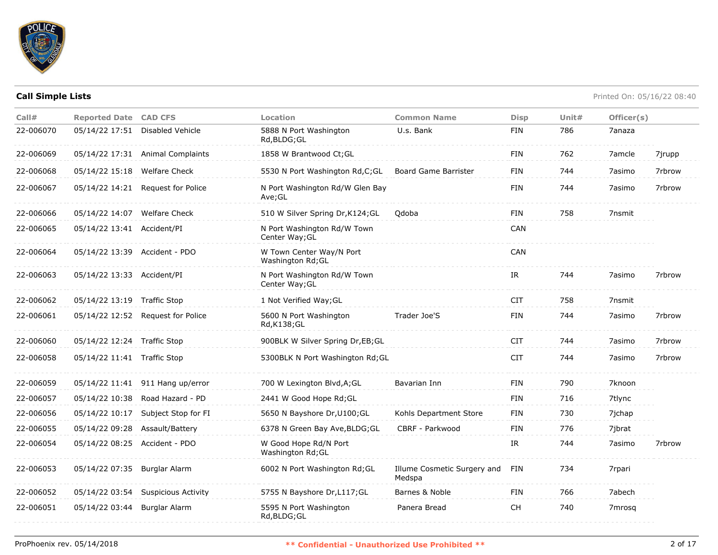

| Call#     | <b>Reported Date CAD CFS</b>  |                                    | Location                                      | <b>Common Name</b>                    | <b>Disp</b>                       | Unit# | Officer(s) |        |
|-----------|-------------------------------|------------------------------------|-----------------------------------------------|---------------------------------------|-----------------------------------|-------|------------|--------|
| 22-006070 | 05/14/22 17:51                | Disabled Vehicle                   | 5888 N Port Washington<br>Rd, BLDG; GL        | U.s. Bank                             | <b>FIN</b>                        | 786   | 7anaza     |        |
| 22-006069 |                               | 05/14/22 17:31 Animal Complaints   | 1858 W Brantwood Ct; GL                       |                                       | FIN                               | 762   | 7amcle     | 7jrupp |
| 22-006068 | 05/14/22 15:18                | <b>Welfare Check</b>               | 5530 N Port Washington Rd, C; GL              | <b>Board Game Barrister</b>           | FIN                               | 744   | 7asimo     | 7rbrow |
| 22-006067 |                               | 05/14/22 14:21 Request for Police  | N Port Washington Rd/W Glen Bay<br>Ave;GL     |                                       | <b>FIN</b>                        | 744   | 7asimo     | 7rbrow |
| 22-006066 | 05/14/22 14:07 Welfare Check  |                                    | 510 W Silver Spring Dr, K124; GL              | Qdoba                                 | <b>FIN</b>                        | 758   | 7nsmit     |        |
| 22-006065 | 05/14/22 13:41 Accident/PI    |                                    | N Port Washington Rd/W Town<br>Center Way; GL |                                       | CAN                               |       |            |        |
| 22-006064 | 05/14/22 13:39 Accident - PDO |                                    | W Town Center Way/N Port<br>Washington Rd; GL |                                       | CAN                               |       |            |        |
| 22-006063 | 05/14/22 13:33 Accident/PI    |                                    | N Port Washington Rd/W Town<br>Center Way; GL |                                       | IR                                | 744   | 7asimo     | 7rbrow |
| 22-006062 | 05/14/22 13:19 Traffic Stop   |                                    | 1 Not Verified Way; GL                        |                                       | <b>CIT</b>                        | 758   | 7nsmit     |        |
| 22-006061 |                               | 05/14/22 12:52 Request for Police  | 5600 N Port Washington<br>Rd, K138; GL        | Trader Joe'S                          | <b>FIN</b>                        | 744   | 7asimo     | 7rbrow |
| 22-006060 | 05/14/22 12:24 Traffic Stop   |                                    | 900BLK W Silver Spring Dr,EB;GL               |                                       | <b>CIT</b>                        | 744   | 7asimo     | 7rbrow |
| 22-006058 | 05/14/22 11:41 Traffic Stop   |                                    | 5300BLK N Port Washington Rd; GL              |                                       | <b>CIT</b>                        | 744   | 7asimo     | 7rbrow |
| 22-006059 |                               | 05/14/22 11:41 911 Hang up/error   | 700 W Lexington Blvd, A; GL                   | Bavarian Inn                          | FIN                               | 790   | 7knoon     |        |
| 22-006057 | 05/14/22 10:38                | Road Hazard - PD                   | 2441 W Good Hope Rd; GL                       |                                       | FIN                               | 716   | 7tlync     |        |
| 22-006056 | 05/14/22 10:17                | Subject Stop for FI                | 5650 N Bayshore Dr, U100; GL                  | Kohls Department Store                | FIN                               | 730   | 7ichap     |        |
| 22-006055 | 05/14/22 09:28                | Assault/Battery                    | 6378 N Green Bay Ave, BLDG; GL                | CBRF - Parkwood                       | FIN                               | 776   | 7jbrat     |        |
| 22-006054 | 05/14/22 08:25 Accident - PDO |                                    | W Good Hope Rd/N Port<br>Washington Rd; GL    |                                       | $\ensuremath{\mathsf{IR}}\xspace$ | 744   | 7asimo     | 7rbrow |
| 22-006053 | 05/14/22 07:35                | Burglar Alarm                      | 6002 N Port Washington Rd; GL                 | Illume Cosmetic Surgery and<br>Medspa | FIN                               | 734   | 7rpari     |        |
| 22-006052 |                               | 05/14/22 03:54 Suspicious Activity | 5755 N Bayshore Dr, L117; GL                  | Barnes & Noble                        | FIN                               | 766   | 7abech     |        |
| 22-006051 | 05/14/22 03:44                | <b>Burglar Alarm</b>               | 5595 N Port Washington<br>Rd, BLDG; GL        | Panera Bread                          | <b>CH</b>                         | 740   | 7mrosq     |        |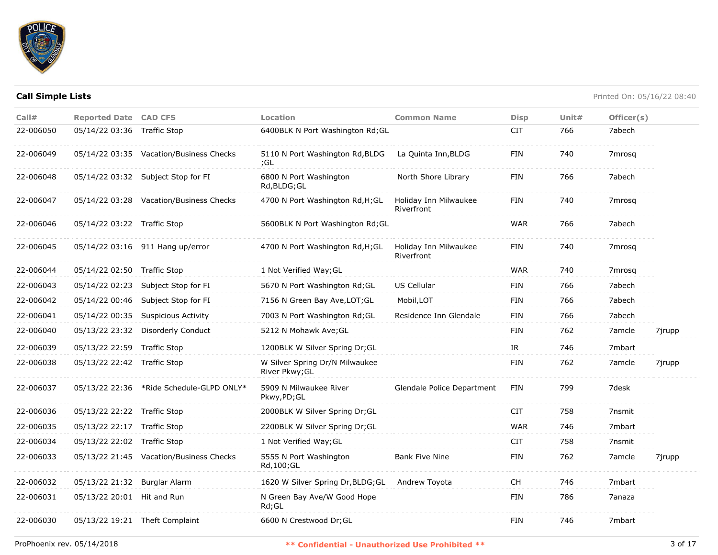

| Call#     | <b>Reported Date CAD CFS</b> |                                          | <b>Location</b>                                  | <b>Common Name</b>                  | <b>Disp</b> | Unit# | Officer(s)         |        |
|-----------|------------------------------|------------------------------------------|--------------------------------------------------|-------------------------------------|-------------|-------|--------------------|--------|
| 22-006050 | 05/14/22 03:36 Traffic Stop  |                                          | 6400BLK N Port Washington Rd; GL                 |                                     | <b>CIT</b>  | 766   | 7abech             |        |
| 22-006049 |                              | 05/14/22 03:35 Vacation/Business Checks  | 5110 N Port Washington Rd, BLDG<br>;GL           | La Quinta Inn, BLDG                 | FIN         | 740   | 7mrosa             |        |
| 22-006048 |                              | 05/14/22 03:32 Subject Stop for FI       | 6800 N Port Washington<br>Rd, BLDG; GL           | North Shore Library                 | FIN         | 766   | 7abech             |        |
| 22-006047 |                              | 05/14/22 03:28 Vacation/Business Checks  | 4700 N Port Washington Rd, H; GL                 | Holiday Inn Milwaukee<br>Riverfront | <b>FIN</b>  | 740   | 7 <sub>mrosq</sub> |        |
| 22-006046 | 05/14/22 03:22 Traffic Stop  |                                          | 5600BLK N Port Washington Rd; GL                 |                                     | <b>WAR</b>  | 766   | 7abech             |        |
| 22-006045 |                              | 05/14/22 03:16 911 Hang up/error         | 4700 N Port Washington Rd, H; GL                 | Holiday Inn Milwaukee<br>Riverfront | FIN         | 740   | 7 <sub>mrosq</sub> |        |
| 22-006044 | 05/14/22 02:50 Traffic Stop  |                                          | 1 Not Verified Way; GL                           |                                     | <b>WAR</b>  | 740   | 7mrosq             |        |
| 22-006043 | 05/14/22 02:23               | Subject Stop for FI                      | 5670 N Port Washington Rd; GL                    | US Cellular                         | FIN         | 766   | 7abech             |        |
| 22-006042 | 05/14/22 00:46               | Subject Stop for FI                      | 7156 N Green Bay Ave, LOT; GL                    | Mobil, LOT                          | FIN         | 766   | 7abech             |        |
| 22-006041 |                              | 05/14/22 00:35 Suspicious Activity       | 7003 N Port Washington Rd;GL                     | Residence Inn Glendale              | <b>FIN</b>  | 766   | 7abech             |        |
| 22-006040 | 05/13/22 23:32               | Disorderly Conduct                       | 5212 N Mohawk Ave; GL                            |                                     | FIN         | 762   | 7amcle             | 7jrupp |
| 22-006039 | 05/13/22 22:59 Traffic Stop  |                                          | 1200BLK W Silver Spring Dr; GL                   |                                     | IR          | 746   | 7mbart             |        |
| 22-006038 | 05/13/22 22:42 Traffic Stop  |                                          | W Silver Spring Dr/N Milwaukee<br>River Pkwy; GL |                                     | FIN         | 762   | 7amcle             | 7jrupp |
| 22-006037 |                              | 05/13/22 22:36 *Ride Schedule-GLPD ONLY* | 5909 N Milwaukee River<br>Pkwy, PD; GL           | Glendale Police Department          | FIN         | 799   | 7desk              |        |
| 22-006036 | 05/13/22 22:22 Traffic Stop  |                                          | 2000BLK W Silver Spring Dr;GL                    |                                     | <b>CIT</b>  | 758   | 7nsmit             |        |
| 22-006035 | 05/13/22 22:17 Traffic Stop  |                                          | 2200BLK W Silver Spring Dr; GL                   |                                     | <b>WAR</b>  | 746   | 7mbart             |        |
| 22-006034 | 05/13/22 22:02 Traffic Stop  |                                          | 1 Not Verified Way; GL                           |                                     | <b>CIT</b>  | 758   | 7nsmit             |        |
| 22-006033 |                              | 05/13/22 21:45 Vacation/Business Checks  | 5555 N Port Washington<br>Rd, 100; GL            | <b>Bank Five Nine</b>               | FIN         | 762   | 7amcle             | 7jrupp |
| 22-006032 | 05/13/22 21:32 Burglar Alarm |                                          | 1620 W Silver Spring Dr, BLDG; GL                | Andrew Toyota                       | CH          | 746   | 7mbart             |        |
| 22-006031 | 05/13/22 20:01 Hit and Run   |                                          | N Green Bay Ave/W Good Hope<br>Rd;GL             |                                     | FIN         | 786   | 7anaza             |        |
| 22-006030 |                              | 05/13/22 19:21 Theft Complaint           | 6600 N Crestwood Dr;GL                           |                                     | FIN         | 746   | 7mbart             |        |
|           |                              |                                          |                                                  |                                     |             |       |                    |        |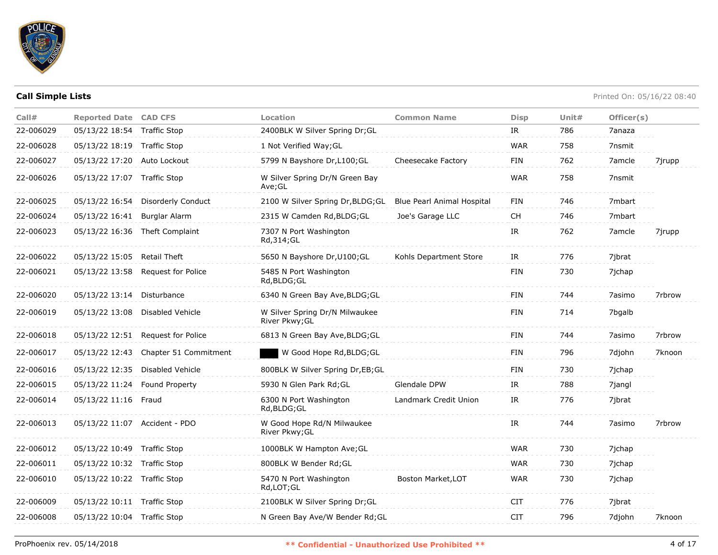

| Call#     | <b>Reported Date CAD CFS</b>  |                                   | <b>Location</b>                                  | <b>Common Name</b>         | <b>Disp</b> | Unit $#$ | Officer(s) |        |
|-----------|-------------------------------|-----------------------------------|--------------------------------------------------|----------------------------|-------------|----------|------------|--------|
| 22-006029 | 05/13/22 18:54 Traffic Stop   |                                   | 2400BLK W Silver Spring Dr; GL                   |                            | IR          | 786      | 7anaza     |        |
| 22-006028 | 05/13/22 18:19 Traffic Stop   |                                   | 1 Not Verified Way; GL                           |                            | <b>WAR</b>  | 758      | 7nsmit     |        |
| 22-006027 | 05/13/22 17:20 Auto Lockout   |                                   | 5799 N Bayshore Dr, L100; GL                     | Cheesecake Factory         | FIN         | 762      | 7amcle     | 7jrupp |
| 22-006026 | 05/13/22 17:07 Traffic Stop   |                                   | W Silver Spring Dr/N Green Bay<br>Ave;GL         |                            | <b>WAR</b>  | 758      | 7nsmit     |        |
| 22-006025 |                               | 05/13/22 16:54 Disorderly Conduct | 2100 W Silver Spring Dr, BLDG; GL                | Blue Pearl Animal Hospital | FIN         | 746      | 7mbart     |        |
| 22-006024 | 05/13/22 16:41                | Burglar Alarm                     | 2315 W Camden Rd, BLDG; GL                       | Joe's Garage LLC           | <b>CH</b>   | 746      | 7mbart     |        |
| 22-006023 |                               | 05/13/22 16:36 Theft Complaint    | 7307 N Port Washington<br>Rd, 314; GL            |                            | IR          | 762      | 7amcle     | 7jrupp |
| 22-006022 | 05/13/22 15:05                | <b>Retail Theft</b>               | 5650 N Bayshore Dr, U100; GL                     | Kohls Department Store     | IR          | 776      | 7jbrat     |        |
| 22-006021 | 05/13/22 13:58                | Request for Police                | 5485 N Port Washington<br>Rd, BLDG; GL           |                            | FIN         | 730      | 7jchap     |        |
| 22-006020 | 05/13/22 13:14 Disturbance    |                                   | 6340 N Green Bay Ave, BLDG; GL                   |                            | <b>FIN</b>  | 744      | 7asimo     | 7rbrow |
| 22-006019 | 05/13/22 13:08                | Disabled Vehicle                  | W Silver Spring Dr/N Milwaukee<br>River Pkwy; GL |                            | <b>FIN</b>  | 714      | 7bgalb     |        |
| 22-006018 |                               | 05/13/22 12:51 Request for Police | 6813 N Green Bay Ave, BLDG; GL                   |                            | FIN         | 744      | 7asimo     | 7rbrow |
| 22-006017 | 05/13/22 12:43                | Chapter 51 Commitment             | W Good Hope Rd, BLDG; GL                         |                            | FIN         | 796      | 7djohn     | 7knoon |
| 22-006016 | 05/13/22 12:35                | Disabled Vehicle                  | 800BLK W Silver Spring Dr,EB;GL                  |                            | FIN         | 730      | 7jchap     |        |
| 22-006015 | 05/13/22 11:24 Found Property |                                   | 5930 N Glen Park Rd; GL                          | Glendale DPW               | IR          | 788      | 7jangl     |        |
| 22-006014 | 05/13/22 11:16 Fraud          |                                   | 6300 N Port Washington<br>Rd, BLDG; GL           | Landmark Credit Union      | IR          | 776      | 7jbrat     |        |
| 22-006013 | 05/13/22 11:07 Accident - PDO |                                   | W Good Hope Rd/N Milwaukee<br>River Pkwy; GL     |                            | IR          | 744      | 7asimo     | 7rbrow |
| 22-006012 | 05/13/22 10:49 Traffic Stop   |                                   | 1000BLK W Hampton Ave; GL                        |                            | <b>WAR</b>  | 730      | 7jchap     |        |
| 22-006011 | 05/13/22 10:32 Traffic Stop   |                                   | 800BLK W Bender Rd; GL                           |                            | <b>WAR</b>  | 730      | 7jchap     |        |
| 22-006010 | 05/13/22 10:22 Traffic Stop   |                                   | 5470 N Port Washington<br>Rd,LOT;GL              | Boston Market, LOT         | <b>WAR</b>  | 730      | 7jchap     |        |
| 22-006009 | 05/13/22 10:11 Traffic Stop   |                                   | 2100BLK W Silver Spring Dr; GL                   |                            | <b>CIT</b>  | 776      | 7jbrat     |        |
| 22-006008 | 05/13/22 10:04 Traffic Stop   |                                   | N Green Bay Ave/W Bender Rd; GL                  |                            | <b>CIT</b>  | 796      | 7djohn     | 7knoon |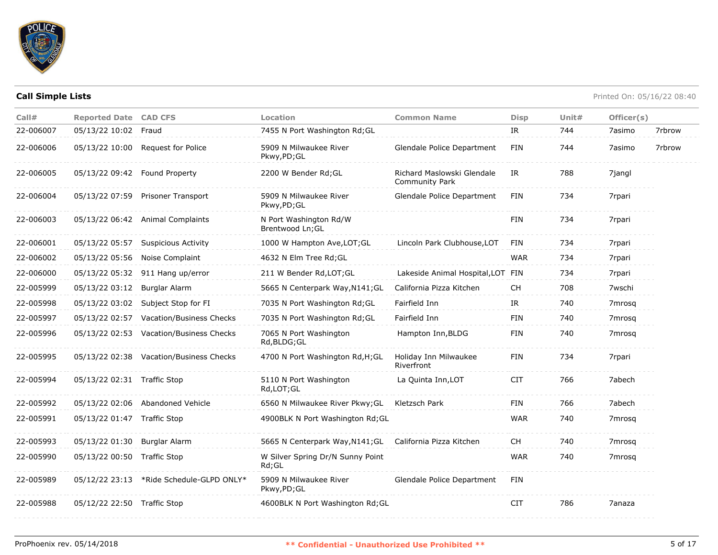

| Call#     | <b>Reported Date CAD CFS</b>  |                                          | Location                                      | <b>Common Name</b>                                  | <b>Disp</b> | Unit $#$ | Officer(s) |        |
|-----------|-------------------------------|------------------------------------------|-----------------------------------------------|-----------------------------------------------------|-------------|----------|------------|--------|
| 22-006007 | 05/13/22 10:02 Fraud          |                                          | 7455 N Port Washington Rd; GL                 |                                                     | IR          | 744      | 7asimo     | 7rbrow |
| 22-006006 |                               | 05/13/22 10:00 Request for Police        | 5909 N Milwaukee River<br>Pkwy,PD;GL          | Glendale Police Department                          | <b>FIN</b>  | 744      | 7asimo     | 7rbrow |
| 22-006005 | 05/13/22 09:42 Found Property |                                          | 2200 W Bender Rd; GL                          | Richard Maslowski Glendale<br><b>Community Park</b> | IR          | 788      | 7jangl     |        |
| 22-006004 |                               | 05/13/22 07:59 Prisoner Transport        | 5909 N Milwaukee River<br>Pkwy,PD;GL          | Glendale Police Department                          | <b>FIN</b>  | 734      | 7rpari     |        |
| 22-006003 |                               | 05/13/22 06:42 Animal Complaints         | N Port Washington Rd/W<br>Brentwood Ln;GL     |                                                     | <b>FIN</b>  | 734      | 7rpari     |        |
| 22-006001 | 05/13/22 05:57                | Suspicious Activity                      | 1000 W Hampton Ave, LOT; GL                   | Lincoln Park Clubhouse, LOT                         | FIN         | 734      | 7rpari     |        |
| 22-006002 | 05/13/22 05:56                | Noise Complaint                          | 4632 N Elm Tree Rd; GL                        |                                                     | <b>WAR</b>  | 734      | 7rpari     |        |
| 22-006000 | 05/13/22 05:32                | 911 Hang up/error                        | 211 W Bender Rd, LOT; GL                      | Lakeside Animal Hospital, LOT FIN                   |             | 734      | 7rpari     |        |
| 22-005999 | 05/13/22 03:12                | Burglar Alarm                            | 5665 N Centerpark Way, N141; GL               | California Pizza Kitchen                            | <b>CH</b>   | 708      | 7wschi     |        |
| 22-005998 | 05/13/22 03:02                | Subject Stop for FI                      | 7035 N Port Washington Rd; GL                 | Fairfield Inn                                       | IR          | 740      | 7mrosg     |        |
| 22-005997 | 05/13/22 02:57                | Vacation/Business Checks                 | 7035 N Port Washington Rd; GL                 | Fairfield Inn                                       | FIN         | 740      | 7mrosq     |        |
| 22-005996 | 05/13/22 02:53                | Vacation/Business Checks                 | 7065 N Port Washington<br>Rd, BLDG; GL        | Hampton Inn, BLDG                                   | <b>FIN</b>  | 740      | 7mrosq     |        |
| 22-005995 | 05/13/22 02:38                | <b>Vacation/Business Checks</b>          | 4700 N Port Washington Rd, H; GL              | Holiday Inn Milwaukee<br>Riverfront                 | <b>FIN</b>  | 734      | 7rpari     |        |
| 22-005994 | 05/13/22 02:31 Traffic Stop   |                                          | 5110 N Port Washington<br>Rd, LOT; GL         | La Quinta Inn, LOT                                  | <b>CIT</b>  | 766      | 7abech     |        |
| 22-005992 |                               | 05/13/22 02:06 Abandoned Vehicle         | 6560 N Milwaukee River Pkwy; GL               | Kletzsch Park                                       | <b>FIN</b>  | 766      | 7abech     |        |
| 22-005991 | 05/13/22 01:47 Traffic Stop   |                                          | 4900BLK N Port Washington Rd; GL              |                                                     | <b>WAR</b>  | 740      | 7mrosq     |        |
| 22-005993 | 05/13/22 01:30 Burglar Alarm  |                                          | 5665 N Centerpark Way, N141; GL               | California Pizza Kitchen                            | <b>CH</b>   | 740      | 7mrosq     |        |
| 22-005990 | 05/13/22 00:50                | <b>Traffic Stop</b>                      | W Silver Spring Dr/N Sunny Point<br>$Rd$ ; GL |                                                     | <b>WAR</b>  | 740      | 7mrosg     |        |
| 22-005989 |                               | 05/12/22 23:13 *Ride Schedule-GLPD ONLY* | 5909 N Milwaukee River<br>Pkwy,PD;GL          | Glendale Police Department                          | FIN         |          |            |        |
| 22-005988 | 05/12/22 22:50                | <b>Traffic Stop</b>                      | 4600BLK N Port Washington Rd; GL              |                                                     | <b>CIT</b>  | 786      | 7anaza     |        |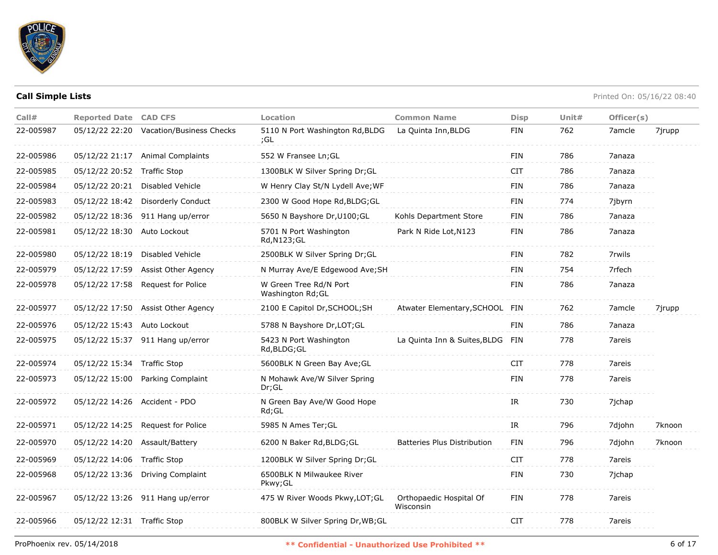

| Call#     | <b>Reported Date CAD CFS</b>  |                                    | Location                                    | <b>Common Name</b>                   | <b>Disp</b> | Unit $#$ | Officer(s) |        |
|-----------|-------------------------------|------------------------------------|---------------------------------------------|--------------------------------------|-------------|----------|------------|--------|
| 22-005987 | 05/12/22 22:20                | Vacation/Business Checks           | 5110 N Port Washington Rd, BLDG<br>;GL      | La Quinta Inn, BLDG                  | FIN         | 762      | 7amcle     | 7jrupp |
| 22-005986 | 05/12/22 21:17                | <b>Animal Complaints</b>           | 552 W Fransee Ln; GL                        |                                      | <b>FIN</b>  | 786      | 7anaza     |        |
| 22-005985 | 05/12/22 20:52                | Traffic Stop                       | 1300BLK W Silver Spring Dr; GL              |                                      | <b>CIT</b>  | 786      | 7anaza     |        |
| 22-005984 | 05/12/22 20:21                | Disabled Vehicle                   | W Henry Clay St/N Lydell Ave; WF            |                                      | FIN         | 786      | 7anaza     |        |
| 22-005983 | 05/12/22 18:42                | Disorderly Conduct                 | 2300 W Good Hope Rd, BLDG; GL               |                                      | FIN         | 774      | 7ibyrn     |        |
| 22-005982 | 05/12/22 18:36                | 911 Hang up/error                  | 5650 N Bayshore Dr, U100; GL                | Kohls Department Store               | FIN         | 786      | 7anaza     |        |
| 22-005981 | 05/12/22 18:30                | Auto Lockout                       | 5701 N Port Washington<br>Rd, N123; GL      | Park N Ride Lot, N123                | FIN         | 786      | 7anaza     |        |
| 22-005980 | 05/12/22 18:19                | Disabled Vehicle                   | 2500BLK W Silver Spring Dr;GL               |                                      | FIN         | 782      | 7rwils     |        |
| 22-005979 | 05/12/22 17:59                | Assist Other Agency                | N Murray Ave/E Edgewood Ave; SH             |                                      | <b>FIN</b>  | 754      | 7rfech     |        |
| 22-005978 | 05/12/22 17:58                | Request for Police                 | W Green Tree Rd/N Port<br>Washington Rd; GL |                                      | FIN         | 786      | 7anaza     |        |
| 22-005977 |                               | 05/12/22 17:50 Assist Other Agency | 2100 E Capitol Dr, SCHOOL; SH               | Atwater Elementary, SCHOOL FIN       |             | 762      | 7amcle     | 7jrupp |
| 22-005976 | 05/12/22 15:43                | Auto Lockout                       | 5788 N Bayshore Dr, LOT; GL                 |                                      | FIN         | 786      | 7anaza     |        |
| 22-005975 |                               | 05/12/22 15:37 911 Hang up/error   | 5423 N Port Washington<br>Rd, BLDG; GL      | La Quinta Inn & Suites, BLDG FIN     |             | 778      | 7areis     |        |
| 22-005974 | 05/12/22 15:34 Traffic Stop   |                                    | 5600BLK N Green Bay Ave; GL                 |                                      | CIT         | 778      | 7areis     |        |
| 22-005973 | 05/12/22 15:00                | Parking Complaint                  | N Mohawk Ave/W Silver Spring<br>Dr;GL       |                                      | FIN         | 778      | 7areis     |        |
| 22-005972 | 05/12/22 14:26 Accident - PDO |                                    | N Green Bay Ave/W Good Hope<br>Rd;GL        |                                      | IR          | 730      | 7jchap     |        |
| 22-005971 | 05/12/22 14:25                | Request for Police                 | 5985 N Ames Ter; GL                         |                                      | IR          | 796      | 7djohn     | 7knoon |
| 22-005970 | 05/12/22 14:20                | Assault/Battery                    | 6200 N Baker Rd, BLDG; GL                   | <b>Batteries Plus Distribution</b>   | FIN         | 796      | 7djohn     | 7knoon |
| 22-005969 | 05/12/22 14:06                | <b>Traffic Stop</b>                | 1200BLK W Silver Spring Dr; GL              |                                      | CIT         | 778      | 7areis     |        |
| 22-005968 | 05/12/22 13:36                | <b>Driving Complaint</b>           | 6500BLK N Milwaukee River<br>Pkwy; GL       |                                      | FIN         | 730      | 7jchap     |        |
| 22-005967 |                               | 05/12/22 13:26 911 Hang up/error   | 475 W River Woods Pkwy, LOT; GL             | Orthopaedic Hospital Of<br>Wisconsin | FIN         | 778      | 7areis     |        |
| 22-005966 | 05/12/22 12:31 Traffic Stop   |                                    | 800BLK W Silver Spring Dr, WB; GL           |                                      | <b>CIT</b>  | 778      | 7areis     |        |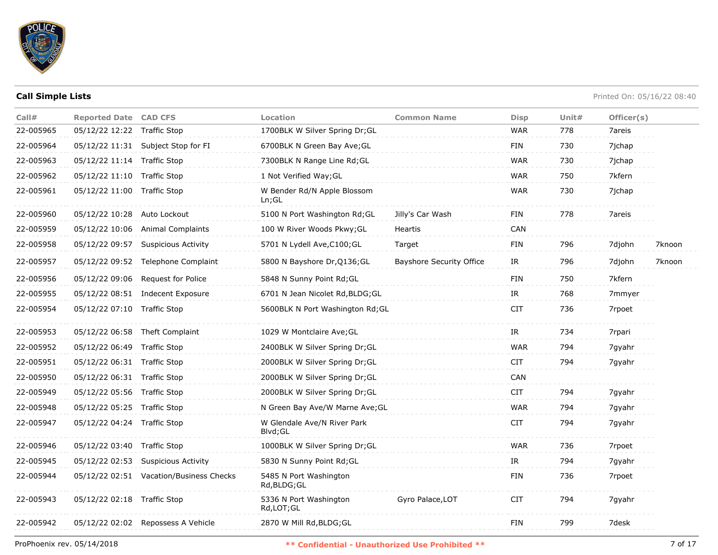

| Call#     | <b>Reported Date CAD CFS</b>   |                                         | Location                                | <b>Common Name</b>              | <b>Disp</b> | Unit# | Officer(s) |        |
|-----------|--------------------------------|-----------------------------------------|-----------------------------------------|---------------------------------|-------------|-------|------------|--------|
| 22-005965 | 05/12/22 12:22 Traffic Stop    |                                         | 1700BLK W Silver Spring Dr;GL           |                                 | <b>WAR</b>  | 778   | 7areis     |        |
| 22-005964 |                                | 05/12/22 11:31 Subject Stop for FI      | 6700BLK N Green Bay Ave; GL             |                                 | <b>FIN</b>  | 730   | 7jchap     |        |
| 22-005963 | 05/12/22 11:14 Traffic Stop    |                                         | 7300BLK N Range Line Rd; GL             |                                 | <b>WAR</b>  | 730   | 7jchap     |        |
| 22-005962 | 05/12/22 11:10 Traffic Stop    |                                         | 1 Not Verified Way; GL                  |                                 | <b>WAR</b>  | 750   | 7kfern     |        |
| 22-005961 | 05/12/22 11:00 Traffic Stop    |                                         | W Bender Rd/N Apple Blossom<br>Ln; GL   |                                 | <b>WAR</b>  | 730   | 7jchap     |        |
| 22-005960 | 05/12/22 10:28 Auto Lockout    |                                         | 5100 N Port Washington Rd; GL           | Jilly's Car Wash                | <b>FIN</b>  | 778   | 7areis     |        |
| 22-005959 | 05/12/22 10:06                 | <b>Animal Complaints</b>                | 100 W River Woods Pkwy; GL              | Heartis                         | <b>CAN</b>  |       |            |        |
| 22-005958 |                                | 05/12/22 09:57 Suspicious Activity      | 5701 N Lydell Ave, C100; GL             | Target                          | FIN         | 796   | 7djohn     | 7knoon |
| 22-005957 |                                | 05/12/22 09:52 Telephone Complaint      | 5800 N Bayshore Dr, Q136; GL            | <b>Bayshore Security Office</b> | IR          | 796   | 7djohn     | 7knoon |
| 22-005956 | 05/12/22 09:06                 | Request for Police                      | 5848 N Sunny Point Rd; GL               |                                 | <b>FIN</b>  | 750   | 7kfern     |        |
| 22-005955 |                                | 05/12/22 08:51 Indecent Exposure        | 6701 N Jean Nicolet Rd, BLDG; GL        |                                 | IR          | 768   | 7mmyer     |        |
| 22-005954 | 05/12/22 07:10 Traffic Stop    |                                         | 5600BLK N Port Washington Rd; GL        |                                 | <b>CIT</b>  | 736   | 7rpoet     |        |
| 22-005953 | 05/12/22 06:58 Theft Complaint |                                         | 1029 W Montclaire Ave; GL               |                                 | IR          | 734   | 7rpari     |        |
| 22-005952 | 05/12/22 06:49 Traffic Stop    |                                         | 2400BLK W Silver Spring Dr; GL          |                                 | <b>WAR</b>  | 794   | 7gyahr     |        |
| 22-005951 | 05/12/22 06:31 Traffic Stop    |                                         | 2000BLK W Silver Spring Dr; GL          |                                 | <b>CIT</b>  | 794   | 7gyahr     |        |
| 22-005950 | 05/12/22 06:31 Traffic Stop    |                                         | 2000BLK W Silver Spring Dr;GL           |                                 | CAN         |       |            |        |
| 22-005949 | 05/12/22 05:56 Traffic Stop    |                                         | 2000BLK W Silver Spring Dr; GL          |                                 | <b>CIT</b>  | 794   | 7gyahr     |        |
| 22-005948 | 05/12/22 05:25 Traffic Stop    |                                         | N Green Bay Ave/W Marne Ave; GL         |                                 | <b>WAR</b>  | 794   | 7gyahr     |        |
| 22-005947 | 05/12/22 04:24 Traffic Stop    |                                         | W Glendale Ave/N River Park<br>Blvd; GL |                                 | <b>CIT</b>  | 794   | 7gyahr     |        |
| 22-005946 | 05/12/22 03:40 Traffic Stop    |                                         | 1000BLK W Silver Spring Dr;GL           |                                 | <b>WAR</b>  | 736   | 7rpoet     |        |
| 22-005945 |                                | 05/12/22 02:53 Suspicious Activity      | 5830 N Sunny Point Rd;GL                |                                 | IR          | 794   | 7gyahr     |        |
| 22-005944 |                                | 05/12/22 02:51 Vacation/Business Checks | 5485 N Port Washington<br>Rd,BLDG;GL    |                                 | FIN         | 736   | 7rpoet     |        |
| 22-005943 | 05/12/22 02:18 Traffic Stop    |                                         | 5336 N Port Washington<br>Rd,LOT;GL     | Gyro Palace, LOT                | <b>CIT</b>  | 794   | 7gyahr     |        |
| 22-005942 |                                | 05/12/22 02:02 Repossess A Vehicle      | 2870 W Mill Rd, BLDG; GL                |                                 | <b>FIN</b>  | 799   | 7desk      |        |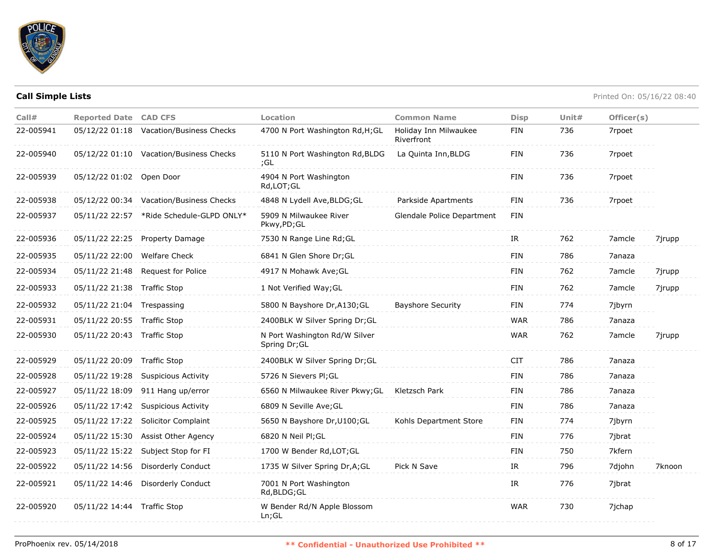

| Call#     | <b>Reported Date CAD CFS</b> |                                         | Location                                       | <b>Common Name</b>                  | <b>Disp</b> | Unit# | Officer(s) |        |
|-----------|------------------------------|-----------------------------------------|------------------------------------------------|-------------------------------------|-------------|-------|------------|--------|
| 22-005941 | 05/12/22 01:18               | Vacation/Business Checks                | 4700 N Port Washington Rd, H; GL               | Holiday Inn Milwaukee<br>Riverfront | FIN         | 736   | 7rpoet     |        |
| 22-005940 |                              | 05/12/22 01:10 Vacation/Business Checks | 5110 N Port Washington Rd, BLDG<br>;GL         | La Quinta Inn, BLDG                 | <b>FIN</b>  | 736   | 7rpoet     |        |
| 22-005939 | 05/12/22 01:02 Open Door     |                                         | 4904 N Port Washington<br>Rd,LOT;GL            |                                     | <b>FIN</b>  | 736   | 7rpoet     |        |
| 22-005938 |                              | 05/12/22 00:34 Vacation/Business Checks | 4848 N Lydell Ave, BLDG; GL                    | Parkside Apartments                 | <b>FIN</b>  | 736   | 7rpoet     |        |
| 22-005937 | 05/11/22 22:57               | *Ride Schedule-GLPD ONLY*               | 5909 N Milwaukee River<br>Pkwy,PD;GL           | Glendale Police Department          | FIN         |       |            |        |
| 22-005936 |                              | 05/11/22 22:25 Property Damage          | 7530 N Range Line Rd; GL                       |                                     | IR.         | 762   | 7amcle     | 7jrupp |
| 22-005935 | 05/11/22 22:00               | <b>Welfare Check</b>                    | 6841 N Glen Shore Dr; GL                       |                                     | FIN         | 786   | 7anaza     |        |
| 22-005934 | 05/11/22 21:48               | Request for Police                      | 4917 N Mohawk Ave; GL                          |                                     | FIN         | 762   | 7amcle     | 7jrupp |
| 22-005933 | 05/11/22 21:38 Traffic Stop  |                                         | 1 Not Verified Way; GL                         |                                     | <b>FIN</b>  | 762   | 7amcle     | 7jrupp |
| 22-005932 | 05/11/22 21:04 Trespassing   |                                         | 5800 N Bayshore Dr, A130; GL                   | <b>Bayshore Security</b>            | <b>FIN</b>  | 774   | 7jbyrn     |        |
| 22-005931 | 05/11/22 20:55 Traffic Stop  |                                         | 2400BLK W Silver Spring Dr;GL                  |                                     | <b>WAR</b>  | 786   | 7anaza     |        |
| 22-005930 | 05/11/22 20:43 Traffic Stop  |                                         | N Port Washington Rd/W Silver<br>Spring Dr; GL |                                     | WAR         | 762   | 7amcle     | 7jrupp |
| 22-005929 | 05/11/22 20:09 Traffic Stop  |                                         | 2400BLK W Silver Spring Dr;GL                  |                                     | <b>CIT</b>  | 786   | 7anaza     |        |
| 22-005928 | 05/11/22 19:28               | <b>Suspicious Activity</b>              | 5726 N Sievers PI;GL                           |                                     | FIN         | 786   | 7anaza     |        |
| 22-005927 | 05/11/22 18:09               | 911 Hang up/error                       | 6560 N Milwaukee River Pkwy; GL                | Kletzsch Park                       | FIN         | 786   | 7anaza     |        |
| 22-005926 | 05/11/22 17:42               | <b>Suspicious Activity</b>              | 6809 N Seville Ave; GL                         |                                     | <b>FIN</b>  | 786   | 7anaza     |        |
| 22-005925 | 05/11/22 17:22               | <b>Solicitor Complaint</b>              | 5650 N Bayshore Dr, U100; GL                   | Kohls Department Store              | FIN         | 774   | 7jbyrn     |        |
| 22-005924 | 05/11/22 15:30               | <b>Assist Other Agency</b>              | 6820 N Neil Pl;GL                              |                                     | FIN         | 776   | 7ibrat     |        |
| 22-005923 | 05/11/22 15:22               | Subject Stop for FI                     | 1700 W Bender Rd, LOT; GL                      |                                     | <b>FIN</b>  | 750   | 7kfern     |        |
| 22-005922 | 05/11/22 14:56               | Disorderly Conduct                      | 1735 W Silver Spring Dr, A; GL                 | Pick N Save                         | IR.         | 796   | 7djohn     | 7knoon |
| 22-005921 | 05/11/22 14:46               | Disorderly Conduct                      | 7001 N Port Washington<br>Rd,BLDG;GL           |                                     | IR          | 776   | 7jbrat     |        |
| 22-005920 | 05/11/22 14:44 Traffic Stop  |                                         | W Bender Rd/N Apple Blossom<br>Ln; GL          |                                     | <b>WAR</b>  | 730   | 7jchap     |        |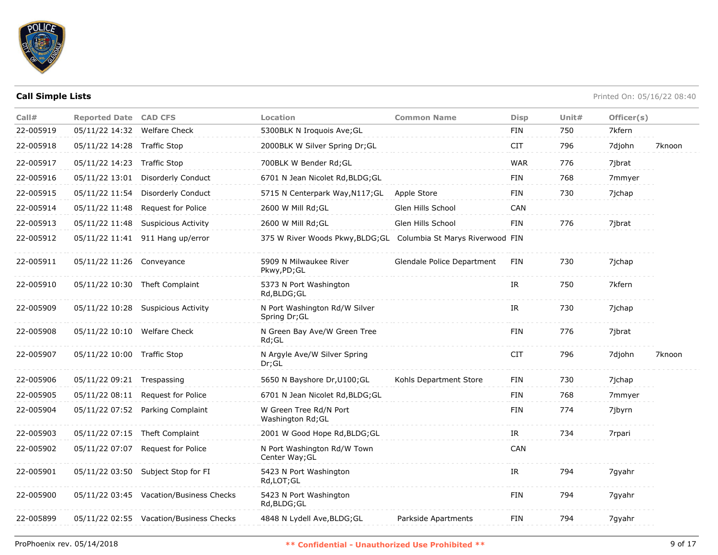

| Call#     | <b>Reported Date CAD CFS</b> |                                         | Location                                                         | <b>Common Name</b>         | <b>Disp</b> | Unit# | Officer(s) |        |
|-----------|------------------------------|-----------------------------------------|------------------------------------------------------------------|----------------------------|-------------|-------|------------|--------|
| 22-005919 | 05/11/22 14:32 Welfare Check |                                         | 5300BLK N Iroquois Ave; GL                                       |                            | <b>FIN</b>  | 750   | 7kfern     |        |
| 22-005918 | 05/11/22 14:28 Traffic Stop  |                                         | 2000BLK W Silver Spring Dr; GL                                   |                            | <b>CIT</b>  | 796   | 7djohn     | 7knoon |
| 22-005917 | 05/11/22 14:23 Traffic Stop  |                                         | 700BLK W Bender Rd;GL                                            |                            | <b>WAR</b>  | 776   | 7jbrat     |        |
| 22-005916 | 05/11/22 13:01               | Disorderly Conduct                      | 6701 N Jean Nicolet Rd, BLDG; GL                                 |                            | FIN         | 768   | 7mmyer     |        |
| 22-005915 | 05/11/22 11:54               | Disorderly Conduct                      | 5715 N Centerpark Way, N117; GL                                  | Apple Store                | FIN         | 730   | 7jchap     |        |
| 22-005914 | 05/11/22 11:48               | <b>Request for Police</b>               | 2600 W Mill Rd; GL                                               | Glen Hills School          | <b>CAN</b>  |       |            |        |
| 22-005913 | 05/11/22 11:48               | <b>Suspicious Activity</b>              | 2600 W Mill Rd; GL                                               | Glen Hills School          | FIN         | 776   | 7jbrat     |        |
| 22-005912 |                              | 05/11/22 11:41 911 Hang up/error        | 375 W River Woods Pkwy, BLDG; GL Columbia St Marys Riverwood FIN |                            |             |       |            |        |
| 22-005911 | 05/11/22 11:26 Conveyance    |                                         | 5909 N Milwaukee River<br>Pkwy,PD;GL                             | Glendale Police Department | FIN         | 730   | 7ichap     |        |
| 22-005910 |                              | 05/11/22 10:30 Theft Complaint          | 5373 N Port Washington<br>Rd, BLDG; GL                           |                            | IR          | 750   | 7kfern     |        |
| 22-005909 |                              | 05/11/22 10:28 Suspicious Activity      | N Port Washington Rd/W Silver<br>Spring Dr; GL                   |                            | IR          | 730   | 7jchap     |        |
| 22-005908 | 05/11/22 10:10 Welfare Check |                                         | N Green Bay Ave/W Green Tree<br>Rd;GL                            |                            | <b>FIN</b>  | 776   | 7ibrat     |        |
| 22-005907 | 05/11/22 10:00 Traffic Stop  |                                         | N Argyle Ave/W Silver Spring<br>Dr; GL                           |                            | <b>CIT</b>  | 796   | 7djohn     | 7knoon |
| 22-005906 | 05/11/22 09:21 Trespassing   |                                         | 5650 N Bayshore Dr, U100; GL                                     | Kohls Department Store     | FIN         | 730   | 7jchap     |        |
| 22-005905 | 05/11/22 08:11               | Request for Police                      | 6701 N Jean Nicolet Rd, BLDG; GL                                 |                            | FIN         | 768   | 7mmyer     |        |
| 22-005904 | 05/11/22 07:52               | Parking Complaint                       | W Green Tree Rd/N Port<br>Washington Rd; GL                      |                            | <b>FIN</b>  | 774   | 7jbyrn     |        |
| 22-005903 |                              | 05/11/22 07:15 Theft Complaint          | 2001 W Good Hope Rd, BLDG; GL                                    |                            | IR          | 734   | 7rpari     |        |
| 22-005902 | 05/11/22 07:07               | <b>Request for Police</b>               | N Port Washington Rd/W Town<br>Center Way; GL                    |                            | <b>CAN</b>  |       |            |        |
| 22-005901 |                              | 05/11/22 03:50 Subject Stop for FI      | 5423 N Port Washington<br>Rd, LOT; GL                            |                            | IR          | 794   | 7gyahr     |        |
| 22-005900 |                              | 05/11/22 03:45 Vacation/Business Checks | 5423 N Port Washington<br>Rd, BLDG; GL                           |                            | FIN         | 794   | 7gyahr     |        |
| 22-005899 |                              | 05/11/22 02:55 Vacation/Business Checks | 4848 N Lydell Ave, BLDG; GL                                      | Parkside Apartments        | FIN         | 794   | 7gyahr     |        |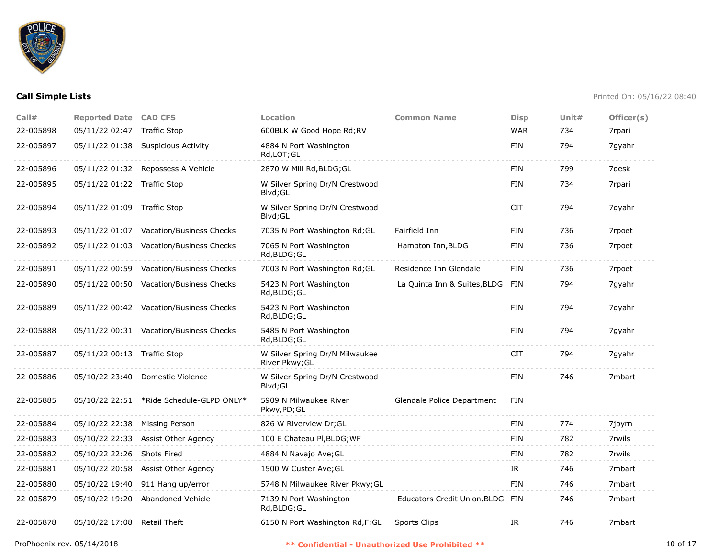

| Call#     | <b>Reported Date CAD CFS</b>  |                                          | Location                                         | <b>Common Name</b>               | <b>Disp</b> | Unit $#$ | Officer(s)         |
|-----------|-------------------------------|------------------------------------------|--------------------------------------------------|----------------------------------|-------------|----------|--------------------|
| 22-005898 | 05/11/22 02:47 Traffic Stop   |                                          | 600BLK W Good Hope Rd;RV                         |                                  | <b>WAR</b>  | 734      | 7rpari             |
| 22-005897 |                               | 05/11/22 01:38 Suspicious Activity       | 4884 N Port Washington<br>Rd,LOT;GL              |                                  | <b>FIN</b>  | 794      | 7gyahr             |
| 22-005896 |                               | 05/11/22 01:32 Repossess A Vehicle       | 2870 W Mill Rd, BLDG; GL                         |                                  | FIN         | 799      | 7desk              |
| 22-005895 | 05/11/22 01:22 Traffic Stop   |                                          | W Silver Spring Dr/N Crestwood<br>Blvd; GL       |                                  | <b>FIN</b>  | 734      | 7rpari             |
| 22-005894 | 05/11/22 01:09 Traffic Stop   |                                          | W Silver Spring Dr/N Crestwood<br>Blvd; GL       |                                  | CIT         | 794      | 7gyahr             |
| 22-005893 |                               | 05/11/22 01:07 Vacation/Business Checks  | 7035 N Port Washington Rd; GL                    | Fairfield Inn                    | FIN         | 736      | 7rpoet             |
| 22-005892 |                               | 05/11/22 01:03 Vacation/Business Checks  | 7065 N Port Washington<br>Rd, BLDG; GL           | Hampton Inn, BLDG                | <b>FIN</b>  | 736      | 7rpoet             |
| 22-005891 |                               | 05/11/22 00:59 Vacation/Business Checks  | 7003 N Port Washington Rd; GL                    | Residence Inn Glendale           | FIN         | 736      | 7rpoet             |
| 22-005890 |                               | 05/11/22 00:50 Vacation/Business Checks  | 5423 N Port Washington<br>Rd, BLDG; GL           | La Quinta Inn & Suites, BLDG     | FIN         | 794      | 7gyahr             |
| 22-005889 |                               | 05/11/22 00:42 Vacation/Business Checks  | 5423 N Port Washington<br>Rd, BLDG; GL           |                                  | <b>FIN</b>  | 794      | 7gyahr             |
| 22-005888 |                               | 05/11/22 00:31 Vacation/Business Checks  | 5485 N Port Washington<br>Rd, BLDG; GL           |                                  | <b>FIN</b>  | 794      | 7gyahr             |
| 22-005887 | 05/11/22 00:13 Traffic Stop   |                                          | W Silver Spring Dr/N Milwaukee<br>River Pkwy; GL |                                  | <b>CIT</b>  | 794      | 7gyahr             |
| 22-005886 |                               | 05/10/22 23:40 Domestic Violence         | W Silver Spring Dr/N Crestwood<br>Blvd; GL       |                                  | FIN         | 746      | 7mbart             |
| 22-005885 |                               | 05/10/22 22:51 *Ride Schedule-GLPD ONLY* | 5909 N Milwaukee River<br>Pkwy,PD;GL             | Glendale Police Department       | FIN         |          |                    |
| 22-005884 | 05/10/22 22:38 Missing Person |                                          | 826 W Riverview Dr; GL                           |                                  | <b>FIN</b>  | 774      | 7jbyrn             |
| 22-005883 |                               | 05/10/22 22:33 Assist Other Agency       | 100 E Chateau Pl, BLDG; WF                       |                                  | FIN         | 782      | 7rwils             |
| 22-005882 | 05/10/22 22:26 Shots Fired    |                                          | 4884 N Navajo Ave; GL                            |                                  | <b>FIN</b>  | 782      | 7rwils             |
| 22-005881 |                               | 05/10/22 20:58 Assist Other Agency       | 1500 W Custer Ave; GL                            |                                  | IR          | 746      | 7 <sub>mbart</sub> |
| 22-005880 |                               | 05/10/22 19:40 911 Hang up/error         | 5748 N Milwaukee River Pkwy; GL                  |                                  | FIN         | 746      | 7mbart             |
| 22-005879 |                               | 05/10/22 19:20 Abandoned Vehicle         | 7139 N Port Washington<br>Rd, BLDG; GL           | Educators Credit Union, BLDG FIN |             | 746      | 7mbart             |
| 22-005878 | 05/10/22 17:08 Retail Theft   |                                          | 6150 N Port Washington Rd, F; GL                 | Sports Clips                     | IR.         | 746      | 7mbart             |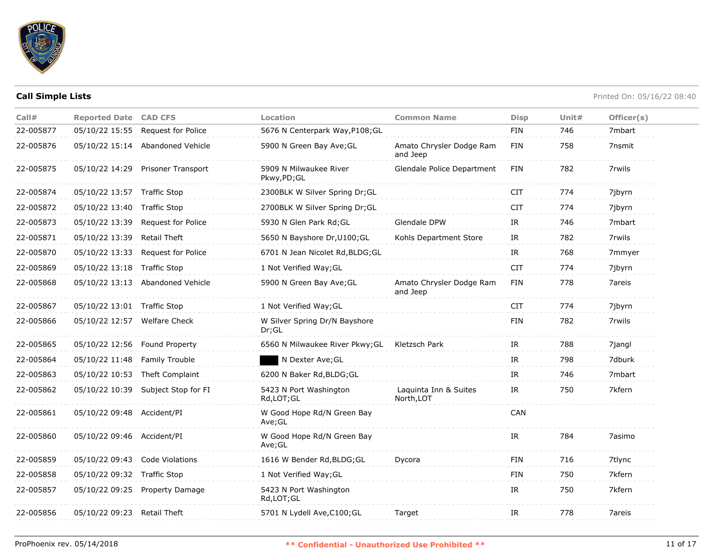

| Call#     | <b>Reported Date CAD CFS</b> |                                   | Location                                | <b>Common Name</b>                   | <b>Disp</b> | Unit# | Officer(s) |
|-----------|------------------------------|-----------------------------------|-----------------------------------------|--------------------------------------|-------------|-------|------------|
| 22-005877 | 05/10/22 15:55               | Request for Police                | 5676 N Centerpark Way, P108; GL         |                                      | FIN         | 746   | 7mbart     |
| 22-005876 |                              | 05/10/22 15:14 Abandoned Vehicle  | 5900 N Green Bay Ave; GL                | Amato Chrysler Dodge Ram<br>and Jeep | <b>FIN</b>  | 758   | 7nsmit     |
| 22-005875 |                              | 05/10/22 14:29 Prisoner Transport | 5909 N Milwaukee River<br>Pkwy,PD;GL    | Glendale Police Department           | <b>FIN</b>  | 782   | 7rwils     |
| 22-005874 | 05/10/22 13:57 Traffic Stop  |                                   | 2300BLK W Silver Spring Dr;GL           |                                      | <b>CIT</b>  | 774   | 7jbyrn     |
| 22-005872 | 05/10/22 13:40               | <b>Traffic Stop</b>               | 2700BLK W Silver Spring Dr;GL           |                                      | <b>CIT</b>  | 774   | 7jbyrn     |
| 22-005873 | 05/10/22 13:39               | <b>Request for Police</b>         | 5930 N Glen Park Rd; GL                 | Glendale DPW                         | IR          | 746   | 7mbart     |
| 22-005871 | 05/10/22 13:39               | Retail Theft                      | 5650 N Bayshore Dr, U100; GL            | Kohls Department Store               | IR          | 782   | 7rwils     |
| 22-005870 | 05/10/22 13:33               | Request for Police                | 6701 N Jean Nicolet Rd, BLDG; GL        |                                      | IR          | 768   | 7mmyer     |
| 22-005869 | 05/10/22 13:18 Traffic Stop  |                                   | 1 Not Verified Way; GL                  |                                      | <b>CIT</b>  | 774   | 7jbyrn     |
| 22-005868 | 05/10/22 13:13               | Abandoned Vehicle                 | 5900 N Green Bay Ave; GL                | Amato Chrysler Dodge Ram<br>and Jeep | <b>FIN</b>  | 778   | 7areis     |
| 22-005867 | 05/10/22 13:01 Traffic Stop  |                                   | 1 Not Verified Way; GL                  |                                      | <b>CIT</b>  | 774   | 7jbyrn     |
| 22-005866 | 05/10/22 12:57               | <b>Welfare Check</b>              | W Silver Spring Dr/N Bayshore<br>Dr; GL |                                      | <b>FIN</b>  | 782   | 7rwils     |
| 22-005865 |                              | 05/10/22 12:56 Found Property     | 6560 N Milwaukee River Pkwy; GL         | Kletzsch Park                        | IR          | 788   | 7jangl     |
| 22-005864 | 05/10/22 11:48               | <b>Family Trouble</b>             | N Dexter Ave; GL                        |                                      | IR          | 798   | 7dburk     |
| 22-005863 | 05/10/22 10:53               | Theft Complaint                   | 6200 N Baker Rd, BLDG; GL               |                                      | IR          | 746   | 7mbart     |
| 22-005862 | 05/10/22 10:39               | Subject Stop for FI               | 5423 N Port Washington<br>Rd,LOT;GL     | Laquinta Inn & Suites<br>North, LOT  | IR          | 750   | 7kfern     |
| 22-005861 | 05/10/22 09:48 Accident/PI   |                                   | W Good Hope Rd/N Green Bay<br>Ave;GL    |                                      | <b>CAN</b>  |       |            |
| 22-005860 | 05/10/22 09:46 Accident/PI   |                                   | W Good Hope Rd/N Green Bay<br>Ave;GL    |                                      | IR          | 784   | 7asimo     |
| 22-005859 | 05/10/22 09:43               | Code Violations                   | 1616 W Bender Rd, BLDG; GL              | Dycora                               | <b>FIN</b>  | 716   | 7tlync     |
| 22-005858 | 05/10/22 09:32 Traffic Stop  |                                   | 1 Not Verified Way; GL                  |                                      | <b>FIN</b>  | 750   | 7kfern     |
| 22-005857 | 05/10/22 09:25               | Property Damage                   | 5423 N Port Washington<br>Rd,LOT;GL     |                                      | IR          | 750   | 7kfern     |
| 22-005856 | 05/10/22 09:23               | Retail Theft                      | 5701 N Lydell Ave,C100;GL               | Target                               | IR          | 778   | 7areis     |
|           |                              |                                   |                                         |                                      |             |       |            |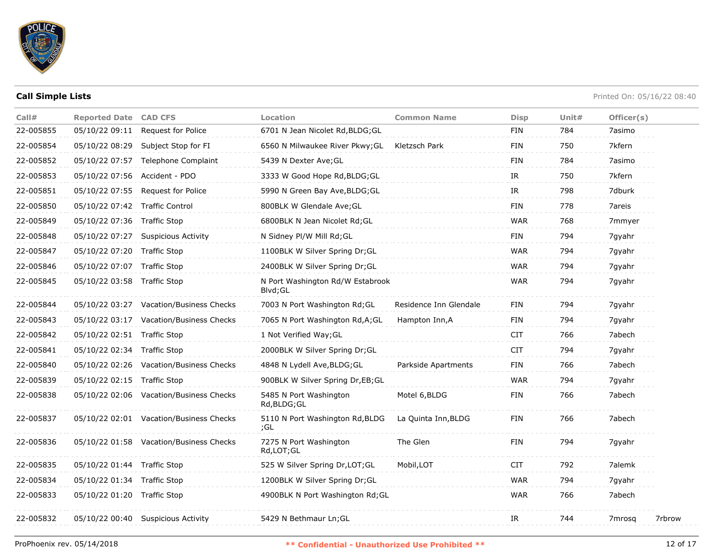

| Call#     | <b>Reported Date CAD CFS</b>   |                                         | Location                                     | <b>Common Name</b>     | Disp       | Unit $#$ | Officer(s) |        |
|-----------|--------------------------------|-----------------------------------------|----------------------------------------------|------------------------|------------|----------|------------|--------|
| 22-005855 | 05/10/22 09:11                 | <b>Request for Police</b>               | 6701 N Jean Nicolet Rd, BLDG; GL             |                        | <b>FIN</b> | 784      | 7asimo     |        |
| 22-005854 | 05/10/22 08:29                 | Subject Stop for FI                     | 6560 N Milwaukee River Pkwy; GL              | Kletzsch Park          | <b>FIN</b> | 750      | 7kfern     |        |
| 22-005852 |                                | 05/10/22 07:57 Telephone Complaint      | 5439 N Dexter Ave; GL                        |                        | FIN        | 784      | 7asimo     |        |
| 22-005853 | 05/10/22 07:56                 | Accident - PDO                          | 3333 W Good Hope Rd, BLDG; GL                |                        | IR         | 750      | 7kfern     |        |
| 22-005851 | 05/10/22 07:55                 | Request for Police                      | 5990 N Green Bay Ave, BLDG; GL               |                        | IR         | 798      | 7dburk     |        |
| 22-005850 | 05/10/22 07:42 Traffic Control |                                         | 800BLK W Glendale Ave; GL                    |                        | FIN        | 778      | 7areis     |        |
| 22-005849 | 05/10/22 07:36 Traffic Stop    |                                         | 6800BLK N Jean Nicolet Rd; GL                |                        | <b>WAR</b> | 768      | 7mmyer     |        |
| 22-005848 |                                | 05/10/22 07:27 Suspicious Activity      | N Sidney Pl/W Mill Rd;GL                     |                        | FIN        | 794      | 7gyahr     |        |
| 22-005847 | 05/10/22 07:20 Traffic Stop    |                                         | 1100BLK W Silver Spring Dr; GL               |                        | <b>WAR</b> | 794      | 7qyahr     |        |
| 22-005846 | 05/10/22 07:07 Traffic Stop    |                                         | 2400BLK W Silver Spring Dr; GL               |                        | WAR        | 794      | 7gyahr     |        |
| 22-005845 | 05/10/22 03:58 Traffic Stop    |                                         | N Port Washington Rd/W Estabrook<br>Blvd; GL |                        | <b>WAR</b> | 794      | 7gyahr     |        |
| 22-005844 |                                | 05/10/22 03:27 Vacation/Business Checks | 7003 N Port Washington Rd; GL                | Residence Inn Glendale | FIN        | 794      | 7gyahr     |        |
| 22-005843 |                                | 05/10/22 03:17 Vacation/Business Checks | 7065 N Port Washington Rd,A;GL               | Hampton Inn, A         | FIN        | 794      | 7gyahr     |        |
| 22-005842 | 05/10/22 02:51 Traffic Stop    |                                         | 1 Not Verified Way; GL                       |                        | <b>CIT</b> | 766      | 7abech     |        |
| 22-005841 | 05/10/22 02:34 Traffic Stop    |                                         | 2000BLK W Silver Spring Dr; GL               |                        | CIT.       | 794      | 7gyahr     |        |
| 22-005840 |                                | 05/10/22 02:26 Vacation/Business Checks | 4848 N Lydell Ave, BLDG; GL                  | Parkside Apartments    | FIN        | 766      | 7abech     |        |
| 22-005839 | 05/10/22 02:15 Traffic Stop    |                                         | 900BLK W Silver Spring Dr, EB; GL            |                        | WAR        | 794      | 7gyahr     |        |
| 22-005838 |                                | 05/10/22 02:06 Vacation/Business Checks | 5485 N Port Washington<br>Rd, BLDG; GL       | Motel 6, BLDG          | <b>FIN</b> | 766      | 7abech     |        |
| 22-005837 |                                | 05/10/22 02:01 Vacation/Business Checks | 5110 N Port Washington Rd, BLDG<br>;GL       | La Quinta Inn, BLDG    | <b>FIN</b> | 766      | 7abech     |        |
| 22-005836 |                                | 05/10/22 01:58 Vacation/Business Checks | 7275 N Port Washington<br>Rd, LOT; GL        | The Glen               | FIN        | 794      | 7gyahr     |        |
| 22-005835 | 05/10/22 01:44 Traffic Stop    |                                         | 525 W Silver Spring Dr, LOT; GL              | Mobil, LOT             | <b>CIT</b> | 792      | 7alemk     |        |
| 22-005834 | 05/10/22 01:34 Traffic Stop    |                                         | 1200BLK W Silver Spring Dr; GL               |                        | <b>WAR</b> | 794      | 7qyahr     |        |
| 22-005833 | 05/10/22 01:20 Traffic Stop    |                                         | 4900BLK N Port Washington Rd; GL             |                        | <b>WAR</b> | 766      | 7abech     |        |
| 22-005832 |                                | 05/10/22 00:40 Suspicious Activity      | 5429 N Bethmaur Ln; GL                       |                        | IR         | 744      | 7mrosa     | 7rbrow |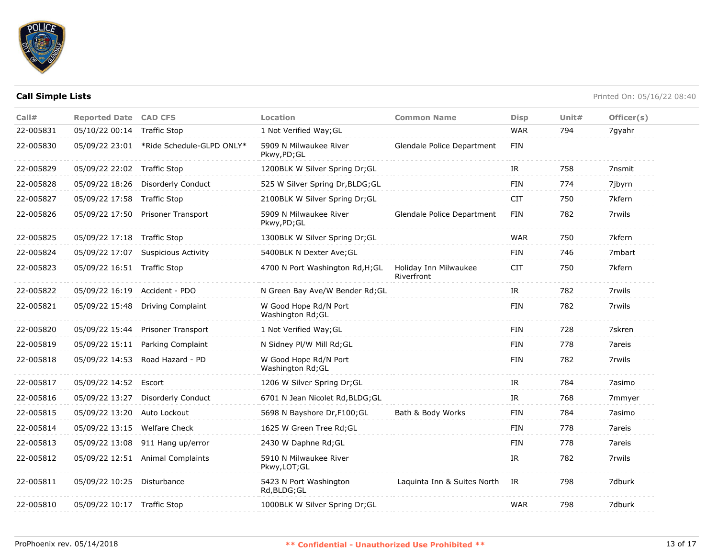

| Call#     | <b>Reported Date CAD CFS</b>  |                                          | Location                                   | <b>Common Name</b>                  | <b>Disp</b> | Unit# | Officer(s) |
|-----------|-------------------------------|------------------------------------------|--------------------------------------------|-------------------------------------|-------------|-------|------------|
| 22-005831 | 05/10/22 00:14 Traffic Stop   |                                          | 1 Not Verified Way; GL                     |                                     | <b>WAR</b>  | 794   | 7gyahr     |
| 22-005830 |                               | 05/09/22 23:01 *Ride Schedule-GLPD ONLY* | 5909 N Milwaukee River<br>Pkwy,PD;GL       | Glendale Police Department          | <b>FIN</b>  |       |            |
| 22-005829 | 05/09/22 22:02 Traffic Stop   |                                          | 1200BLK W Silver Spring Dr; GL             |                                     | IR.         | 758   | 7nsmit     |
| 22-005828 | 05/09/22 18:26                | <b>Disorderly Conduct</b>                | 525 W Silver Spring Dr, BLDG; GL           |                                     | <b>FIN</b>  | 774   | 7jbyrn     |
| 22-005827 | 05/09/22 17:58 Traffic Stop   |                                          | 2100BLK W Silver Spring Dr; GL             |                                     | <b>CIT</b>  | 750   | 7kfern     |
| 22-005826 | 05/09/22 17:50                | <b>Prisoner Transport</b>                | 5909 N Milwaukee River<br>Pkwy,PD;GL       | Glendale Police Department          | <b>FIN</b>  | 782   | 7rwils     |
| 22-005825 | 05/09/22 17:18 Traffic Stop   |                                          | 1300BLK W Silver Spring Dr; GL             |                                     | <b>WAR</b>  | 750   | 7kfern     |
| 22-005824 | 05/09/22 17:07                | <b>Suspicious Activity</b>               | 5400BLK N Dexter Ave; GL                   |                                     | <b>FIN</b>  | 746   | 7mbart     |
| 22-005823 | 05/09/22 16:51 Traffic Stop   |                                          | 4700 N Port Washington Rd, H; GL           | Holiday Inn Milwaukee<br>Riverfront | <b>CIT</b>  | 750   | 7kfern     |
| 22-005822 | 05/09/22 16:19 Accident - PDO |                                          | N Green Bay Ave/W Bender Rd; GL            |                                     | IR.         | 782   | 7rwils     |
| 22-005821 | 05/09/22 15:48                | <b>Driving Complaint</b>                 | W Good Hope Rd/N Port<br>Washington Rd; GL |                                     | <b>FIN</b>  | 782   | 7rwils     |
| 22-005820 | 05/09/22 15:44                | <b>Prisoner Transport</b>                | 1 Not Verified Way; GL                     |                                     | <b>FIN</b>  | 728   | 7skren     |
| 22-005819 | 05/09/22 15:11                | Parking Complaint                        | N Sidney Pl/W Mill Rd;GL                   |                                     | <b>FIN</b>  | 778   | 7areis     |
| 22-005818 | 05/09/22 14:53                | Road Hazard - PD                         | W Good Hope Rd/N Port<br>Washington Rd; GL |                                     | <b>FIN</b>  | 782   | 7rwils     |
| 22-005817 | 05/09/22 14:52 Escort         |                                          | 1206 W Silver Spring Dr;GL                 |                                     | <b>IR</b>   | 784   | 7asimo     |
| 22-005816 | 05/09/22 13:27                | Disorderly Conduct                       | 6701 N Jean Nicolet Rd, BLDG; GL           |                                     | IR          | 768   | 7mmyer     |
| 22-005815 | 05/09/22 13:20                | Auto Lockout                             | 5698 N Bayshore Dr, F100; GL               | Bath & Body Works                   | <b>FIN</b>  | 784   | 7asimo     |
| 22-005814 | 05/09/22 13:15                | <b>Welfare Check</b>                     | 1625 W Green Tree Rd; GL                   |                                     | <b>FIN</b>  | 778   | 7areis     |
| 22-005813 | 05/09/22 13:08                | 911 Hang up/error                        | 2430 W Daphne Rd; GL                       |                                     | <b>FIN</b>  | 778   | 7areis     |
| 22-005812 | 05/09/22 12:51                | <b>Animal Complaints</b>                 | 5910 N Milwaukee River<br>Pkwy, LOT; GL    |                                     | IR.         | 782   | 7rwils     |
| 22-005811 | 05/09/22 10:25 Disturbance    |                                          | 5423 N Port Washington<br>Rd, BLDG; GL     | Laquinta Inn & Suites North         | IR          | 798   | 7dburk     |
| 22-005810 | 05/09/22 10:17 Traffic Stop   |                                          | 1000BLK W Silver Spring Dr; GL             |                                     | <b>WAR</b>  | 798   | 7dburk     |
|           |                               |                                          |                                            |                                     |             |       |            |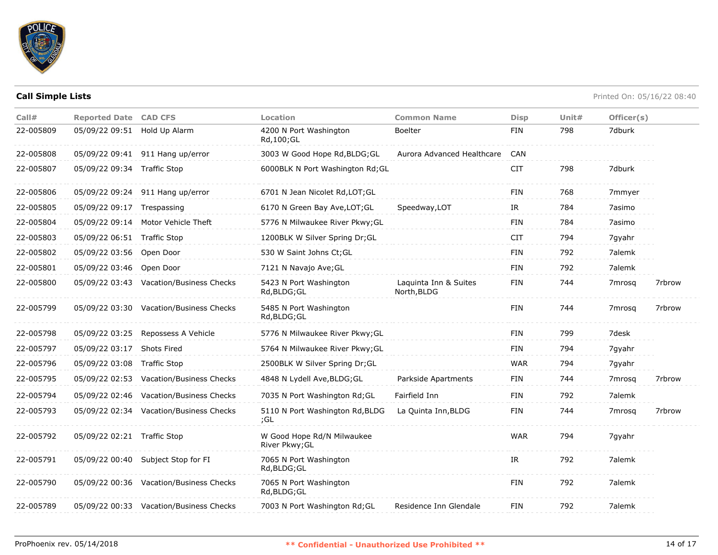

| Call#     | <b>Reported Date CAD CFS</b> |                                         | Location                                     | <b>Common Name</b>                   | <b>Disp</b> | Unit# | Officer(s)         |        |
|-----------|------------------------------|-----------------------------------------|----------------------------------------------|--------------------------------------|-------------|-------|--------------------|--------|
| 22-005809 | 05/09/22 09:51 Hold Up Alarm |                                         | 4200 N Port Washington<br>Rd, 100; GL        | <b>Boelter</b>                       | <b>FIN</b>  | 798   | 7dburk             |        |
| 22-005808 |                              | 05/09/22 09:41 911 Hang up/error        | 3003 W Good Hope Rd, BLDG; GL                | Aurora Advanced Healthcare           | CAN         |       |                    |        |
| 22-005807 | 05/09/22 09:34 Traffic Stop  |                                         | 6000BLK N Port Washington Rd; GL             |                                      | <b>CIT</b>  | 798   | 7dburk             |        |
| 22-005806 |                              | 05/09/22 09:24 911 Hang up/error        | 6701 N Jean Nicolet Rd, LOT; GL              |                                      | FIN         | 768   | 7mmyer             |        |
| 22-005805 | 05/09/22 09:17 Trespassing   |                                         | 6170 N Green Bay Ave, LOT; GL                | Speedway, LOT                        | IR          | 784   | 7asimo             |        |
| 22-005804 |                              | 05/09/22 09:14 Motor Vehicle Theft      | 5776 N Milwaukee River Pkwy; GL              |                                      | FIN         | 784   | 7asimo             |        |
| 22-005803 | 05/09/22 06:51 Traffic Stop  |                                         | 1200BLK W Silver Spring Dr; GL               |                                      | <b>CIT</b>  | 794   | 7gyahr             |        |
| 22-005802 | 05/09/22 03:56 Open Door     |                                         | 530 W Saint Johns Ct; GL                     |                                      | <b>FIN</b>  | 792   | 7alemk             |        |
| 22-005801 | 05/09/22 03:46 Open Door     |                                         | 7121 N Navajo Ave; GL                        |                                      | FIN         | 792   | 7alemk             |        |
| 22-005800 |                              | 05/09/22 03:43 Vacation/Business Checks | 5423 N Port Washington<br>Rd, BLDG; GL       | Laquinta Inn & Suites<br>North, BLDG | FIN         | 744   | 7mrosg             | 7rbrow |
| 22-005799 |                              | 05/09/22 03:30 Vacation/Business Checks | 5485 N Port Washington<br>Rd, BLDG; GL       |                                      | <b>FIN</b>  | 744   | 7mrosq             | 7rbrow |
| 22-005798 |                              | 05/09/22 03:25 Repossess A Vehicle      | 5776 N Milwaukee River Pkwy; GL              |                                      | FIN         | 799   | 7desk              |        |
| 22-005797 | 05/09/22 03:17               | Shots Fired                             | 5764 N Milwaukee River Pkwy; GL              |                                      | <b>FIN</b>  | 794   | 7gyahr             |        |
| 22-005796 | 05/09/22 03:08 Traffic Stop  |                                         | 2500BLK W Silver Spring Dr;GL                |                                      | <b>WAR</b>  | 794   | 7gyahr             |        |
| 22-005795 |                              | 05/09/22 02:53 Vacation/Business Checks | 4848 N Lydell Ave, BLDG; GL                  | Parkside Apartments                  | FIN         | 744   | 7 <sub>mrosq</sub> | 7rbrow |
| 22-005794 | 05/09/22 02:46               | <b>Vacation/Business Checks</b>         | 7035 N Port Washington Rd; GL                | Fairfield Inn                        | <b>FIN</b>  | 792   | 7alemk             |        |
| 22-005793 | 05/09/22 02:34               | Vacation/Business Checks                | 5110 N Port Washington Rd, BLDG<br>;GL       | La Quinta Inn, BLDG                  | <b>FIN</b>  | 744   | 7mrosq             | 7rbrow |
| 22-005792 | 05/09/22 02:21 Traffic Stop  |                                         | W Good Hope Rd/N Milwaukee<br>River Pkwy; GL |                                      | <b>WAR</b>  | 794   | 7gyahr             |        |
| 22-005791 |                              | 05/09/22 00:40 Subject Stop for FI      | 7065 N Port Washington<br>Rd, BLDG; GL       |                                      | IR          | 792   | 7alemk             |        |
| 22-005790 |                              | 05/09/22 00:36 Vacation/Business Checks | 7065 N Port Washington<br>Rd, BLDG; GL       |                                      | FIN         | 792   | 7alemk             |        |
| 22-005789 |                              | 05/09/22 00:33 Vacation/Business Checks | 7003 N Port Washington Rd; GL                | Residence Inn Glendale               | FIN         | 792   | 7alemk             |        |
|           |                              |                                         |                                              |                                      |             |       |                    |        |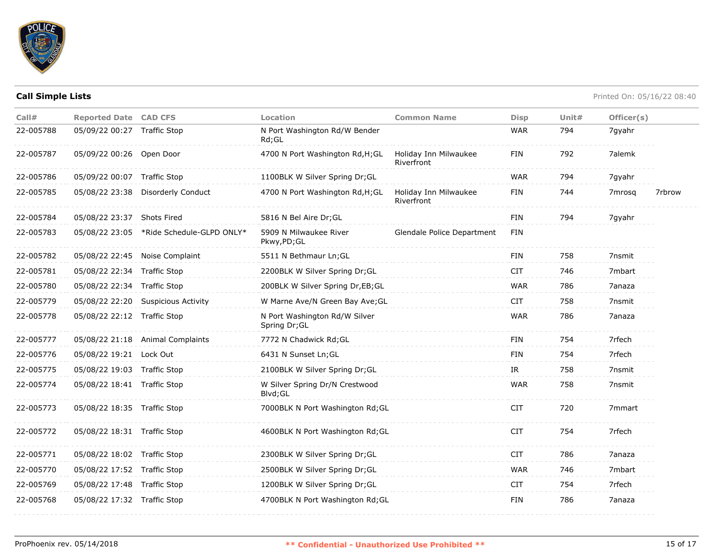

| Call#     | <b>Reported Date CAD CFS</b> |                                          | Location                                       | <b>Common Name</b>                  | <b>Disp</b> | Unit# | Officer(s) |        |
|-----------|------------------------------|------------------------------------------|------------------------------------------------|-------------------------------------|-------------|-------|------------|--------|
| 22-005788 | 05/09/22 00:27 Traffic Stop  |                                          | N Port Washington Rd/W Bender<br>$Rd$ ; GL     |                                     | <b>WAR</b>  | 794   | 7gyahr     |        |
| 22-005787 | 05/09/22 00:26 Open Door     |                                          | 4700 N Port Washington Rd, H; GL               | Holiday Inn Milwaukee<br>Riverfront | <b>FIN</b>  | 792   | 7alemk     |        |
| 22-005786 | 05/09/22 00:07 Traffic Stop  |                                          | 1100BLK W Silver Spring Dr; GL                 |                                     | <b>WAR</b>  | 794   | 7gyahr     |        |
| 22-005785 |                              | 05/08/22 23:38 Disorderly Conduct        | 4700 N Port Washington Rd, H; GL               | Holiday Inn Milwaukee<br>Riverfront | <b>FIN</b>  | 744   | 7mrosa     | 7rbrow |
| 22-005784 | 05/08/22 23:37 Shots Fired   |                                          | 5816 N Bel Aire Dr; GL                         |                                     | <b>FIN</b>  | 794   | 7gyahr     |        |
| 22-005783 |                              | 05/08/22 23:05 *Ride Schedule-GLPD ONLY* | 5909 N Milwaukee River<br>Pkwy,PD;GL           | Glendale Police Department          | <b>FIN</b>  |       |            |        |
| 22-005782 |                              | 05/08/22 22:45 Noise Complaint           | 5511 N Bethmaur Ln; GL                         |                                     | <b>FIN</b>  | 758   | 7nsmit     |        |
| 22-005781 | 05/08/22 22:34 Traffic Stop  |                                          | 2200BLK W Silver Spring Dr;GL                  |                                     | <b>CIT</b>  | 746   | 7mbart     |        |
| 22-005780 | 05/08/22 22:34 Traffic Stop  |                                          | 200BLK W Silver Spring Dr,EB;GL                |                                     | <b>WAR</b>  | 786   | 7anaza     |        |
| 22-005779 |                              | 05/08/22 22:20 Suspicious Activity       | W Marne Ave/N Green Bay Ave; GL                |                                     | <b>CIT</b>  | 758   | 7nsmit     |        |
| 22-005778 | 05/08/22 22:12 Traffic Stop  |                                          | N Port Washington Rd/W Silver<br>Spring Dr; GL |                                     | <b>WAR</b>  | 786   | 7anaza     |        |
| 22-005777 |                              | 05/08/22 21:18 Animal Complaints         | 7772 N Chadwick Rd; GL                         |                                     | <b>FIN</b>  | 754   | 7rfech     |        |
| 22-005776 | 05/08/22 19:21 Lock Out      |                                          | 6431 N Sunset Ln; GL                           |                                     | <b>FIN</b>  | 754   | 7rfech     |        |
| 22-005775 | 05/08/22 19:03 Traffic Stop  |                                          | 2100BLK W Silver Spring Dr; GL                 |                                     | IR          | 758   | 7nsmit     |        |
| 22-005774 | 05/08/22 18:41 Traffic Stop  |                                          | W Silver Spring Dr/N Crestwood<br>Blvd; GL     |                                     | <b>WAR</b>  | 758   | 7nsmit     |        |
| 22-005773 | 05/08/22 18:35 Traffic Stop  |                                          | 7000BLK N Port Washington Rd; GL               |                                     | <b>CIT</b>  | 720   | 7mmart     |        |
| 22-005772 | 05/08/22 18:31 Traffic Stop  |                                          | 4600BLK N Port Washington Rd; GL               |                                     | <b>CIT</b>  | 754   | 7rfech     |        |
| 22-005771 | 05/08/22 18:02 Traffic Stop  |                                          | 2300BLK W Silver Spring Dr;GL                  |                                     | <b>CIT</b>  | 786   | 7anaza     |        |
| 22-005770 | 05/08/22 17:52 Traffic Stop  |                                          | 2500BLK W Silver Spring Dr; GL                 |                                     | <b>WAR</b>  | 746   | 7mbart     |        |
| 22-005769 | 05/08/22 17:48 Traffic Stop  |                                          | 1200BLK W Silver Spring Dr; GL                 |                                     | <b>CIT</b>  | 754   | 7rfech     |        |
| 22-005768 | 05/08/22 17:32 Traffic Stop  |                                          | 4700BLK N Port Washington Rd; GL               |                                     | <b>FIN</b>  | 786   | 7anaza     |        |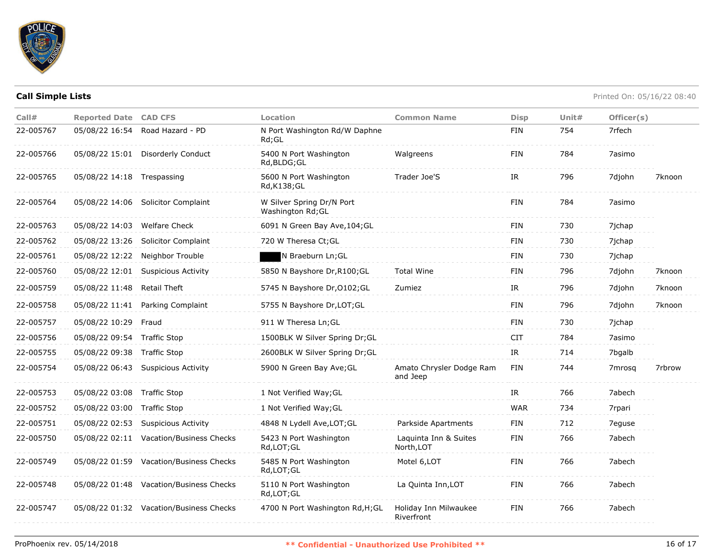

| Call#     | <b>Reported Date CAD CFS</b> |                                         | Location                                       | <b>Common Name</b>                   | <b>Disp</b> | Unit $#$ | Officer(s) |        |
|-----------|------------------------------|-----------------------------------------|------------------------------------------------|--------------------------------------|-------------|----------|------------|--------|
| 22-005767 |                              | 05/08/22 16:54 Road Hazard - PD         | N Port Washington Rd/W Daphne<br>Rd;GL         |                                      | FIN         | 754      | 7rfech     |        |
| 22-005766 |                              | 05/08/22 15:01 Disorderly Conduct       | 5400 N Port Washington<br>Rd, BLDG; GL         | Walgreens                            | <b>FIN</b>  | 784      | 7asimo     |        |
| 22-005765 | 05/08/22 14:18 Trespassing   |                                         | 5600 N Port Washington<br>Rd, K138; GL         | Trader Joe'S                         | IR          | 796      | 7djohn     | 7knoon |
| 22-005764 |                              | 05/08/22 14:06 Solicitor Complaint      | W Silver Spring Dr/N Port<br>Washington Rd; GL |                                      | <b>FIN</b>  | 784      | 7asimo     |        |
| 22-005763 | 05/08/22 14:03 Welfare Check |                                         | 6091 N Green Bay Ave, 104; GL                  |                                      | <b>FIN</b>  | 730      | 7jchap     |        |
| 22-005762 | 05/08/22 13:26               | <b>Solicitor Complaint</b>              | 720 W Theresa Ct; GL                           |                                      | <b>FIN</b>  | 730      | 7jchap     |        |
| 22-005761 |                              | 05/08/22 12:22 Neighbor Trouble         | N Braeburn Ln;GL                               |                                      | <b>FIN</b>  | 730      | 7ichap     |        |
| 22-005760 |                              | 05/08/22 12:01 Suspicious Activity      | 5850 N Bayshore Dr, R100; GL                   | <b>Total Wine</b>                    | FIN         | 796      | 7djohn     | 7knoon |
| 22-005759 | 05/08/22 11:48 Retail Theft  |                                         | 5745 N Bayshore Dr, O102; GL                   | Zumiez                               | IR          | 796      | 7djohn     | 7knoon |
| 22-005758 |                              | 05/08/22 11:41 Parking Complaint        | 5755 N Bayshore Dr, LOT; GL                    |                                      | <b>FIN</b>  | 796      | 7djohn     | 7knoon |
| 22-005757 | 05/08/22 10:29 Fraud         |                                         | 911 W Theresa Ln; GL                           |                                      | <b>FIN</b>  | 730      | 7jchap     |        |
| 22-005756 | 05/08/22 09:54 Traffic Stop  |                                         | 1500BLK W Silver Spring Dr;GL                  |                                      | <b>CIT</b>  | 784      | 7asimo     |        |
| 22-005755 | 05/08/22 09:38 Traffic Stop  |                                         | 2600BLK W Silver Spring Dr; GL                 |                                      | IR          | 714      | 7bgalb     |        |
| 22-005754 |                              | 05/08/22 06:43 Suspicious Activity      | 5900 N Green Bay Ave; GL                       | Amato Chrysler Dodge Ram<br>and Jeep | <b>FIN</b>  | 744      | 7mrosg     | 7rbrow |
| 22-005753 | 05/08/22 03:08 Traffic Stop  |                                         | 1 Not Verified Way; GL                         |                                      | IR          | 766      | 7abech     |        |
| 22-005752 | 05/08/22 03:00               | Traffic Stop                            | 1 Not Verified Way; GL                         |                                      | <b>WAR</b>  | 734      | 7rpari     |        |
| 22-005751 | 05/08/22 02:53               | <b>Suspicious Activity</b>              | 4848 N Lydell Ave, LOT; GL                     | Parkside Apartments                  | FIN         | 712      | 7eguse     |        |
| 22-005750 |                              | 05/08/22 02:11 Vacation/Business Checks | 5423 N Port Washington<br>Rd,LOT;GL            | Laquinta Inn & Suites<br>North, LOT  | <b>FIN</b>  | 766      | 7abech     |        |
| 22-005749 |                              | 05/08/22 01:59 Vacation/Business Checks | 5485 N Port Washington<br>Rd,LOT;GL            | Motel 6, LOT                         | FIN         | 766      | 7abech     |        |
| 22-005748 |                              | 05/08/22 01:48 Vacation/Business Checks | 5110 N Port Washington<br>Rd,LOT;GL            | La Quinta Inn, LOT                   | FIN         | 766      | 7abech     |        |
| 22-005747 |                              | 05/08/22 01:32 Vacation/Business Checks | 4700 N Port Washington Rd, H; GL               | Holiday Inn Milwaukee<br>Riverfront  | <b>FIN</b>  | 766      | 7abech     |        |
|           |                              |                                         |                                                |                                      |             |          |            |        |